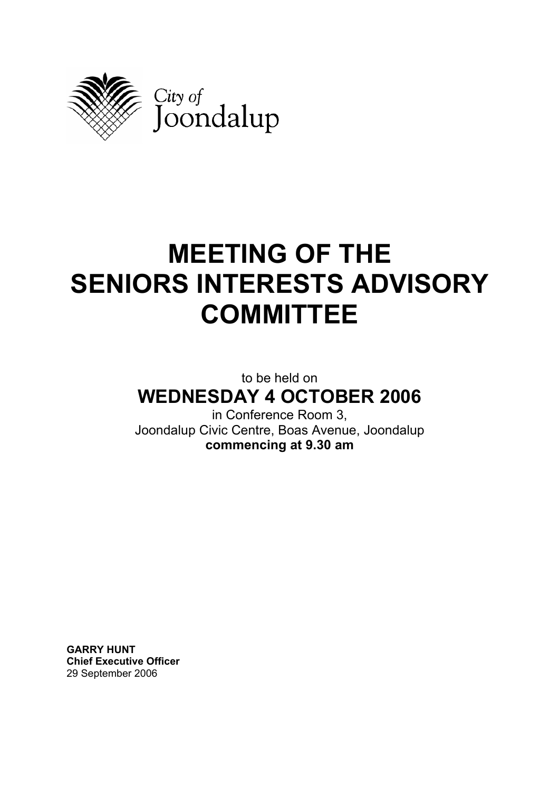

# **MEETING OF THE SENIORS INTERESTS ADVISORY COMMITTEE**

# to be held on **WEDNESDAY 4 OCTOBER 2006**

in Conference Room 3, Joondalup Civic Centre, Boas Avenue, Joondalup **commencing at 9.30 am** 

**GARRY HUNT Chief Executive Officer**  29 September 2006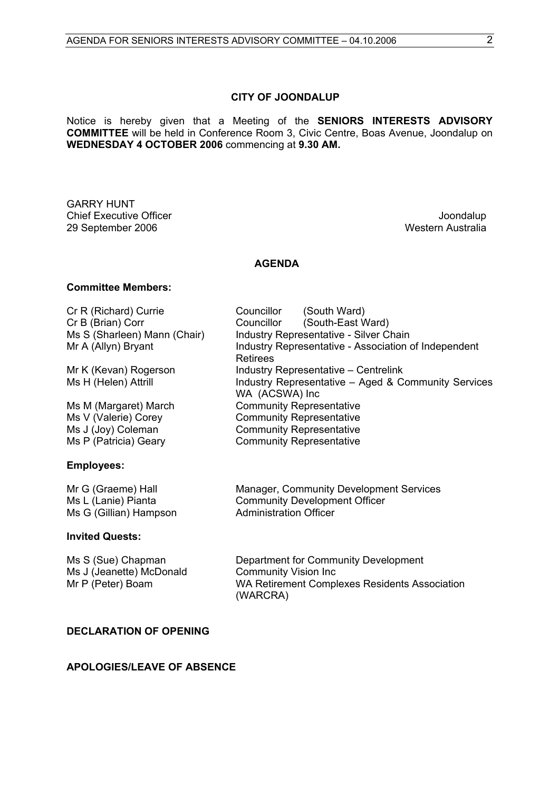#### **CITY OF JOONDALUP**

Notice is hereby given that a Meeting of the **SENIORS INTERESTS ADVISORY COMMITTEE** will be held in Conference Room 3, Civic Centre, Boas Avenue, Joondalup on **WEDNESDAY 4 OCTOBER 2006** commencing at **9.30 AM.** 

GARRY HUNT Chief Executive Officer **Joondalup Chief Executive Officer** 29 September 2006 Western Australia

#### **AGENDA**

#### **Committee Members:**

| Cr R (Richard) Currie<br>Cr B (Brian) Corr                          | Councillor<br>(South Ward)<br>(South-East Ward)<br>Councillor         |
|---------------------------------------------------------------------|-----------------------------------------------------------------------|
| Ms S (Sharleen) Mann (Chair)                                        | <b>Industry Representative - Silver Chain</b>                         |
| Mr A (Allyn) Bryant                                                 | Industry Representative - Association of Independent<br>Retirees      |
| Mr K (Kevan) Rogerson                                               | <b>Industry Representative – Centrelink</b>                           |
| Ms H (Helen) Attrill                                                | Industry Representative – Aged & Community Services<br>WA (ACSWA) Inc |
| Ms M (Margaret) March                                               | <b>Community Representative</b>                                       |
| Ms V (Valerie) Corey                                                | <b>Community Representative</b>                                       |
|                                                                     | <b>Community Representative</b>                                       |
| Ms P (Patricia) Geary                                               | <b>Community Representative</b>                                       |
| <b>Employees:</b>                                                   |                                                                       |
| Mr G (Graeme) Hall                                                  | <b>Manager, Community Development Services</b>                        |
|                                                                     | <b>Administration Officer</b>                                         |
| Ms J (Joy) Coleman<br>Ms L (Lanie) Pianta<br>Ms G (Gillian) Hampson | <b>Community Development Officer</b>                                  |

#### **Invited Quests:**

| Ms S (Sue) Chapman       | Department for Community Development                      |
|--------------------------|-----------------------------------------------------------|
| Ms J (Jeanette) McDonald | <b>Community Vision Inc.</b>                              |
| Mr P (Peter) Boam        | WA Retirement Complexes Residents Association<br>(WARCRA) |

#### **DECLARATION OF OPENING**

#### **APOLOGIES/LEAVE OF ABSENCE**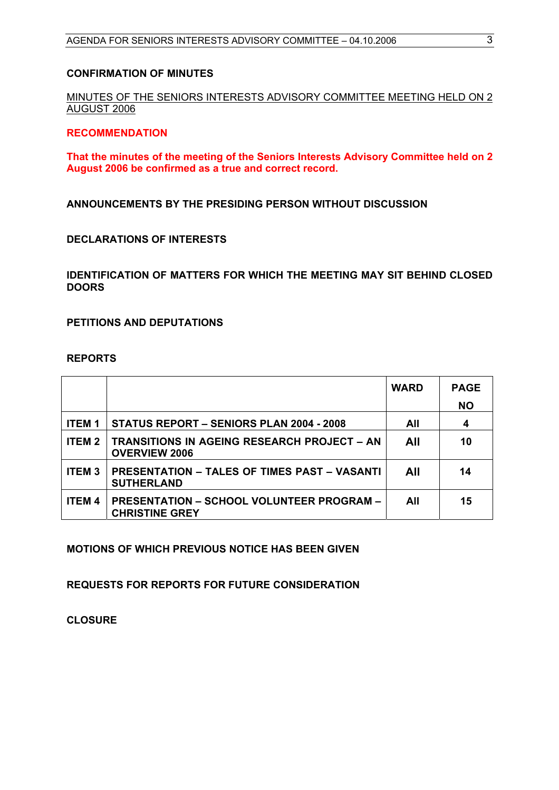#### **CONFIRMATION OF MINUTES**

MINUTES OF THE SENIORS INTERESTS ADVISORY COMMITTEE MEETING HELD ON 2 AUGUST 2006

#### **RECOMMENDATION**

**That the minutes of the meeting of the Seniors Interests Advisory Committee held on 2 August 2006 be confirmed as a true and correct record.** 

**ANNOUNCEMENTS BY THE PRESIDING PERSON WITHOUT DISCUSSION** 

#### **DECLARATIONS OF INTERESTS**

**IDENTIFICATION OF MATTERS FOR WHICH THE MEETING MAY SIT BEHIND CLOSED DOORS** 

**PETITIONS AND DEPUTATIONS** 

#### **REPORTS**

|               |                                                                           | <b>WARD</b> | <b>PAGE</b><br><b>NO</b> |
|---------------|---------------------------------------------------------------------------|-------------|--------------------------|
| <b>ITEM1</b>  | <b>STATUS REPORT - SENIORS PLAN 2004 - 2008</b>                           | All         | 4                        |
| ITEM 2        | TRANSITIONS IN AGEING RESEARCH PROJECT – AN<br><b>OVERVIEW 2006</b>       | All         | 10                       |
| <b>ITEM3</b>  | <b>PRESENTATION – TALES OF TIMES PAST – VASANTI</b><br><b>SUTHERLAND</b>  | All         | 14                       |
| <b>ITEM 4</b> | <b>PRESENTATION - SCHOOL VOLUNTEER PROGRAM -</b><br><b>CHRISTINE GREY</b> | All         | 15                       |

**MOTIONS OF WHICH PREVIOUS NOTICE HAS BEEN GIVEN** 

**REQUESTS FOR REPORTS FOR FUTURE CONSIDERATION** 

**CLOSURE**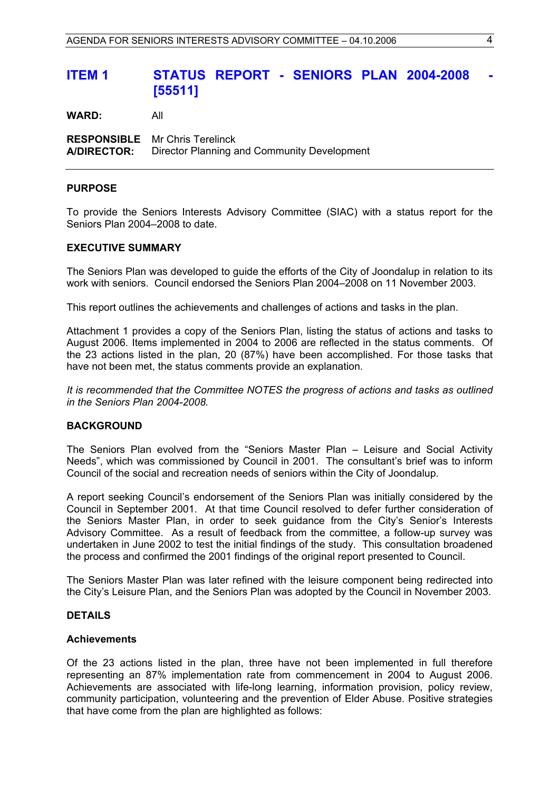# <span id="page-3-0"></span>**ITEM 1 STATUS REPORT - SENIORS PLAN 2004-2008 [55511]**

**WARD:** All

**RESPONSIBLE** Mr Chris Terelinck **A/DIRECTOR:** Director Planning and Community Development

#### **PURPOSE**

To provide the Seniors Interests Advisory Committee (SIAC) with a status report for the Seniors Plan 2004–2008 to date.

#### **EXECUTIVE SUMMARY**

The Seniors Plan was developed to guide the efforts of the City of Joondalup in relation to its work with seniors. Council endorsed the Seniors Plan 2004–2008 on 11 November 2003.

This report outlines the achievements and challenges of actions and tasks in the plan.

Attachment 1 provides a copy of the Seniors Plan, listing the status of actions and tasks to August 2006. Items implemented in 2004 to 2006 are reflected in the status comments. Of the 23 actions listed in the plan, 20 (87%) have been accomplished. For those tasks that have not been met, the status comments provide an explanation.

*It is recommended that the Committee NOTES the progress of actions and tasks as outlined in the Seniors Plan 2004-2008.* 

#### **BACKGROUND**

The Seniors Plan evolved from the "Seniors Master Plan – Leisure and Social Activity Needs", which was commissioned by Council in 2001. The consultant's brief was to inform Council of the social and recreation needs of seniors within the City of Joondalup.

A report seeking Council's endorsement of the Seniors Plan was initially considered by the Council in September 2001. At that time Council resolved to defer further consideration of the Seniors Master Plan, in order to seek guidance from the City's Senior's Interests Advisory Committee. As a result of feedback from the committee, a follow-up survey was undertaken in June 2002 to test the initial findings of the study. This consultation broadened the process and confirmed the 2001 findings of the original report presented to Council.

The Seniors Master Plan was later refined with the leisure component being redirected into the City's Leisure Plan, and the Seniors Plan was adopted by the Council in November 2003.

#### **DETAILS**

#### **Achievements**

Of the 23 actions listed in the plan, three have not been implemented in full therefore representing an 87% implementation rate from commencement in 2004 to August 2006. Achievements are associated with life-long learning, information provision, policy review, community participation, volunteering and the prevention of Elder Abuse. Positive strategies that have come from the plan are highlighted as follows: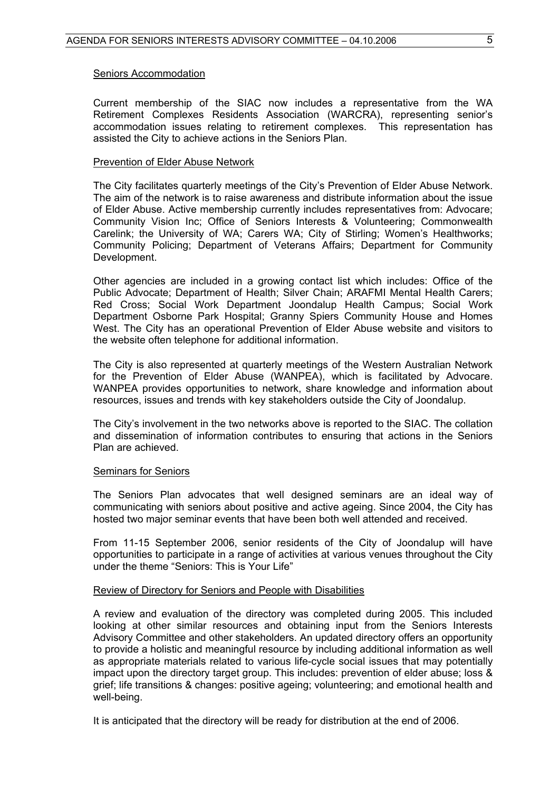#### Seniors Accommodation

Current membership of the SIAC now includes a representative from the WA Retirement Complexes Residents Association (WARCRA), representing senior's accommodation issues relating to retirement complexes. This representation has assisted the City to achieve actions in the Seniors Plan.

#### Prevention of Elder Abuse Network

The City facilitates quarterly meetings of the City's Prevention of Elder Abuse Network. The aim of the network is to raise awareness and distribute information about the issue of Elder Abuse. Active membership currently includes representatives from: Advocare; Community Vision Inc; Office of Seniors Interests & Volunteering; Commonwealth Carelink; the University of WA; Carers WA; City of Stirling; Women's Healthworks; Community Policing; Department of Veterans Affairs; Department for Community Development.

Other agencies are included in a growing contact list which includes: Office of the Public Advocate; Department of Health; Silver Chain; ARAFMI Mental Health Carers; Red Cross; Social Work Department Joondalup Health Campus; Social Work Department Osborne Park Hospital; Granny Spiers Community House and Homes West. The City has an operational Prevention of Elder Abuse website and visitors to the website often telephone for additional information.

The City is also represented at quarterly meetings of the Western Australian Network for the Prevention of Elder Abuse (WANPEA), which is facilitated by Advocare. WANPEA provides opportunities to network, share knowledge and information about resources, issues and trends with key stakeholders outside the City of Joondalup.

The City's involvement in the two networks above is reported to the SIAC. The collation and dissemination of information contributes to ensuring that actions in the Seniors Plan are achieved.

#### Seminars for Seniors

The Seniors Plan advocates that well designed seminars are an ideal way of communicating with seniors about positive and active ageing. Since 2004, the City has hosted two major seminar events that have been both well attended and received.

From 11-15 September 2006, senior residents of the City of Joondalup will have opportunities to participate in a range of activities at various venues throughout the City under the theme "Seniors: This is Your Life"

#### Review of Directory for Seniors and People with Disabilities

A review and evaluation of the directory was completed during 2005. This included looking at other similar resources and obtaining input from the Seniors Interests Advisory Committee and other stakeholders. An updated directory offers an opportunity to provide a holistic and meaningful resource by including additional information as well as appropriate materials related to various life-cycle social issues that may potentially impact upon the directory target group. This includes: prevention of elder abuse; loss & grief; life transitions & changes: positive ageing; volunteering; and emotional health and well-being.

It is anticipated that the directory will be ready for distribution at the end of 2006.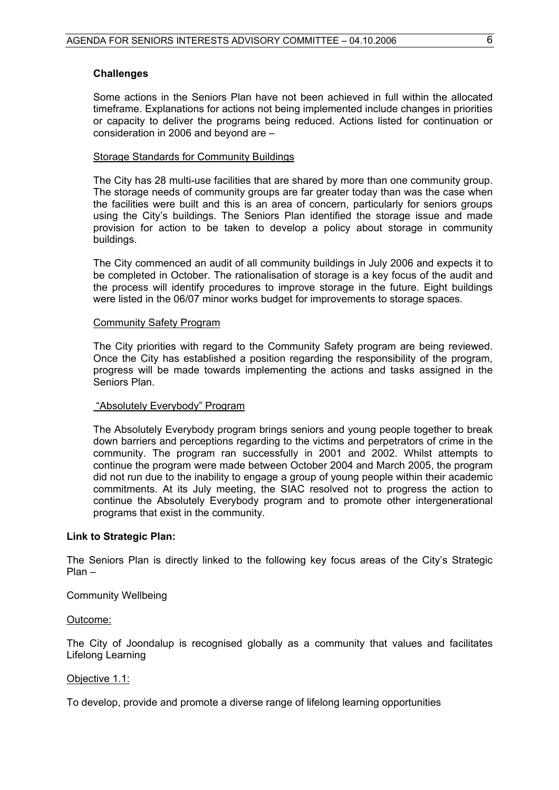#### **Challenges**

Some actions in the Seniors Plan have not been achieved in full within the allocated timeframe. Explanations for actions not being implemented include changes in priorities or capacity to deliver the programs being reduced. Actions listed for continuation or consideration in 2006 and beyond are –

#### Storage Standards for Community Buildings

The City has 28 multi-use facilities that are shared by more than one community group. The storage needs of community groups are far greater today than was the case when the facilities were built and this is an area of concern, particularly for seniors groups using the City's buildings. The Seniors Plan identified the storage issue and made provision for action to be taken to develop a policy about storage in community buildings.

The City commenced an audit of all community buildings in July 2006 and expects it to be completed in October. The rationalisation of storage is a key focus of the audit and the process will identify procedures to improve storage in the future. Eight buildings were listed in the 06/07 minor works budget for improvements to storage spaces.

#### Community Safety Program

The City priorities with regard to the Community Safety program are being reviewed. Once the City has established a position regarding the responsibility of the program, progress will be made towards implementing the actions and tasks assigned in the Seniors Plan.

#### "Absolutely Everybody" Program

The Absolutely Everybody program brings seniors and young people together to break down barriers and perceptions regarding to the victims and perpetrators of crime in the community. The program ran successfully in 2001 and 2002. Whilst attempts to continue the program were made between October 2004 and March 2005, the program did not run due to the inability to engage a group of young people within their academic commitments. At its July meeting, the SIAC resolved not to progress the action to continue the Absolutely Everybody program and to promote other intergenerational programs that exist in the community.

#### **Link to Strategic Plan:**

The Seniors Plan is directly linked to the following key focus areas of the City's Strategic Plan –

#### Community Wellbeing

#### Outcome:

The City of Joondalup is recognised globally as a community that values and facilitates Lifelong Learning

#### Objective 1.1:

To develop, provide and promote a diverse range of lifelong learning opportunities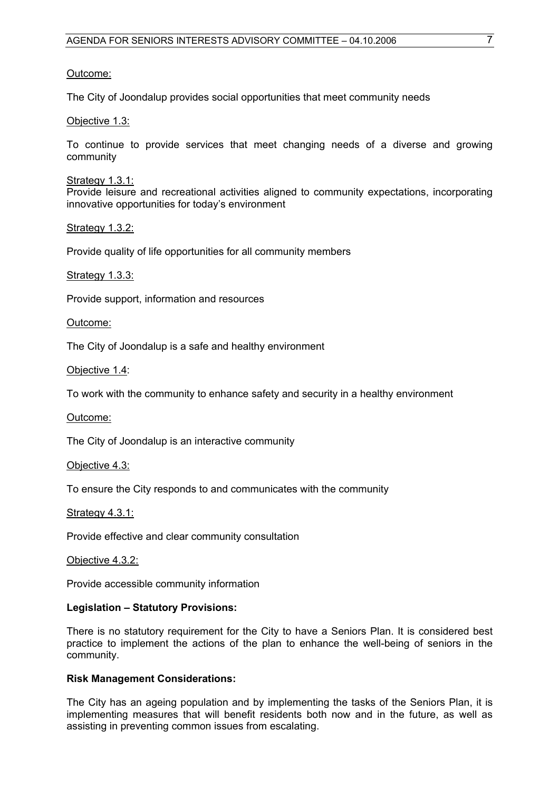#### Outcome:

The City of Joondalup provides social opportunities that meet community needs

Objective 1.3:

To continue to provide services that meet changing needs of a diverse and growing community

Strategy 1.3.1:

Provide leisure and recreational activities aligned to community expectations, incorporating innovative opportunities for today's environment

Strategy 1.3.2:

Provide quality of life opportunities for all community members

Strategy 1.3.3:

Provide support, information and resources

Outcome:

The City of Joondalup is a safe and healthy environment

Objective 1.4:

To work with the community to enhance safety and security in a healthy environment

Outcome:

The City of Joondalup is an interactive community

Objective 4.3:

To ensure the City responds to and communicates with the community

Strategy 4.3.1:

Provide effective and clear community consultation

Objective 4.3.2:

Provide accessible community information

#### **Legislation – Statutory Provisions:**

There is no statutory requirement for the City to have a Seniors Plan. It is considered best practice to implement the actions of the plan to enhance the well-being of seniors in the community.

#### **Risk Management Considerations:**

The City has an ageing population and by implementing the tasks of the Seniors Plan, it is implementing measures that will benefit residents both now and in the future, as well as assisting in preventing common issues from escalating.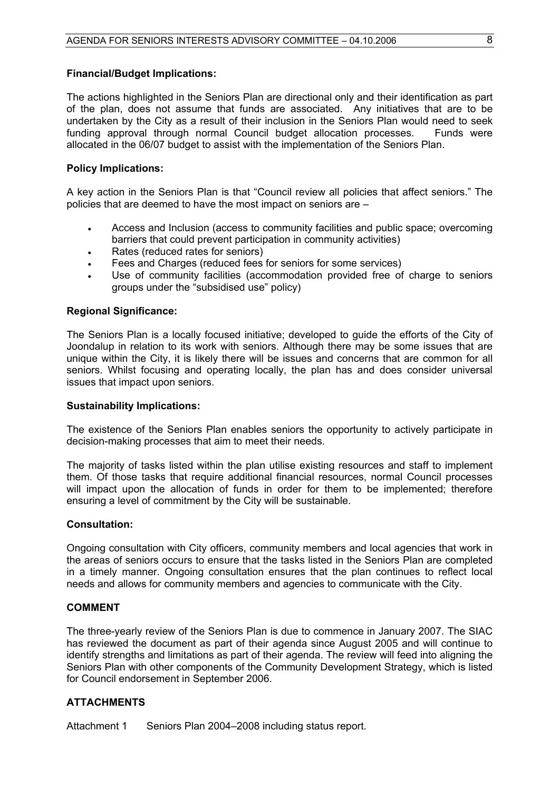#### **Financial/Budget Implications:**

The actions highlighted in the Seniors Plan are directional only and their identification as part of the plan, does not assume that funds are associated. Any initiatives that are to be undertaken by the City as a result of their inclusion in the Seniors Plan would need to seek funding approval through normal Council budget allocation processes. Funds were allocated in the 06/07 budget to assist with the implementation of the Seniors Plan.

#### **Policy Implications:**

A key action in the Seniors Plan is that "Council review all policies that affect seniors." The policies that are deemed to have the most impact on seniors are –

- Access and Inclusion (access to community facilities and public space; overcoming barriers that could prevent participation in community activities)
- Rates (reduced rates for seniors)
- Fees and Charges (reduced fees for seniors for some services)
- Use of community facilities (accommodation provided free of charge to seniors groups under the "subsidised use" policy)

#### **Regional Significance:**

The Seniors Plan is a locally focused initiative; developed to guide the efforts of the City of Joondalup in relation to its work with seniors. Although there may be some issues that are unique within the City, it is likely there will be issues and concerns that are common for all seniors. Whilst focusing and operating locally, the plan has and does consider universal issues that impact upon seniors.

#### **Sustainability Implications:**

The existence of the Seniors Plan enables seniors the opportunity to actively participate in decision-making processes that aim to meet their needs.

The majority of tasks listed within the plan utilise existing resources and staff to implement them. Of those tasks that require additional financial resources, normal Council processes will impact upon the allocation of funds in order for them to be implemented; therefore ensuring a level of commitment by the City will be sustainable.

#### **Consultation:**

Ongoing consultation with City officers, community members and local agencies that work in the areas of seniors occurs to ensure that the tasks listed in the Seniors Plan are completed in a timely manner. Ongoing consultation ensures that the plan continues to reflect local needs and allows for community members and agencies to communicate with the City.

#### **COMMENT**

The three-yearly review of the Seniors Plan is due to commence in January 2007. The SIAC has reviewed the document as part of their agenda since August 2005 and will continue to identify strengths and limitations as part of their agenda. The review will feed into aligning the Seniors Plan with other components of the Community Development Strategy, which is listed for Council endorsement in September 2006.

#### **ATTACHMENTS**

Attachment 1 Seniors Plan 2004–2008 including status report.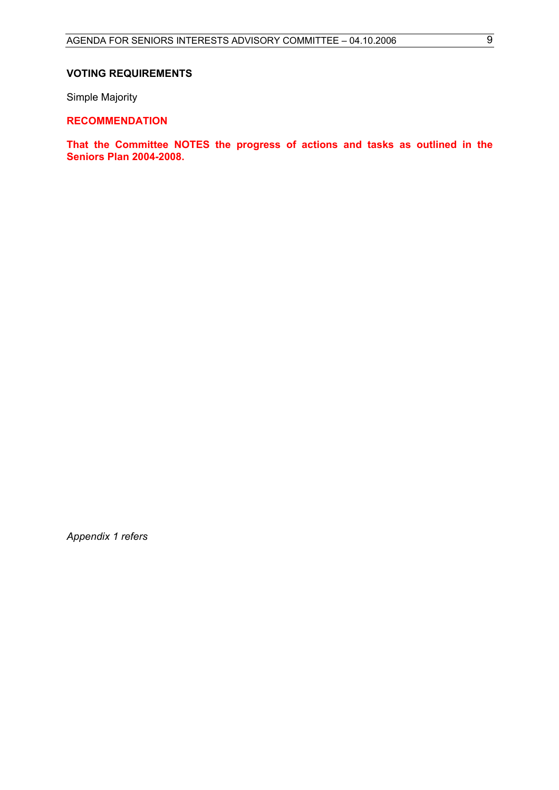#### **VOTING REQUIREMENTS**

Simple Majority

### **RECOMMENDATION**

**That the Committee NOTES the progress of actions and tasks as outlined in the Seniors Plan 2004-2008.** 

*Appendix 1 refers*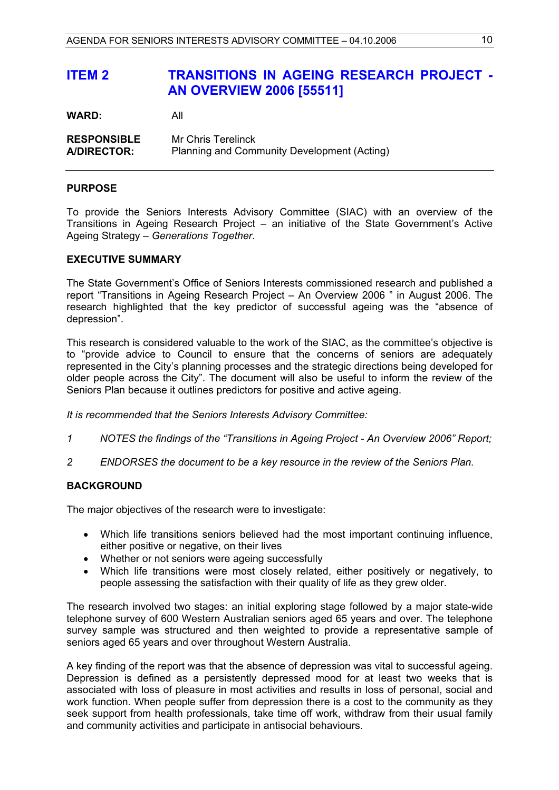# <span id="page-9-0"></span>**ITEM 2 TRANSITIONS IN AGEING RESEARCH PROJECT - AN OVERVIEW 2006 [55511]**

**WARD:** All

**RESPONSIBLE** Mr Chris Terelinck **A/DIRECTOR:** Planning and Community Development (Acting)

#### **PURPOSE**

To provide the Seniors Interests Advisory Committee (SIAC) with an overview of the Transitions in Ageing Research Project – an initiative of the State Government's Active Ageing Strategy – *Generations Together*.

#### **EXECUTIVE SUMMARY**

The State Government's Office of Seniors Interests commissioned research and published a report "Transitions in Ageing Research Project – An Overview 2006 " in August 2006. The research highlighted that the key predictor of successful ageing was the "absence of depression".

This research is considered valuable to the work of the SIAC, as the committee's objective is to "provide advice to Council to ensure that the concerns of seniors are adequately represented in the City's planning processes and the strategic directions being developed for older people across the City". The document will also be useful to inform the review of the Seniors Plan because it outlines predictors for positive and active ageing.

*It is recommended that the Seniors Interests Advisory Committee:* 

- *1 NOTES the findings of the "Transitions in Ageing Project An Overview 2006" Report;*
- *2 ENDORSES the document to be a key resource in the review of the Seniors Plan.*

#### **BACKGROUND**

The major objectives of the research were to investigate:

- Which life transitions seniors believed had the most important continuing influence, either positive or negative, on their lives
- Whether or not seniors were ageing successfully
- Which life transitions were most closely related, either positively or negatively, to people assessing the satisfaction with their quality of life as they grew older.

The research involved two stages: an initial exploring stage followed by a major state-wide telephone survey of 600 Western Australian seniors aged 65 years and over. The telephone survey sample was structured and then weighted to provide a representative sample of seniors aged 65 years and over throughout Western Australia.

A key finding of the report was that the absence of depression was vital to successful ageing. Depression is defined as a persistently depressed mood for at least two weeks that is associated with loss of pleasure in most activities and results in loss of personal, social and work function. When people suffer from depression there is a cost to the community as they seek support from health professionals, take time off work, withdraw from their usual family and community activities and participate in antisocial behaviours.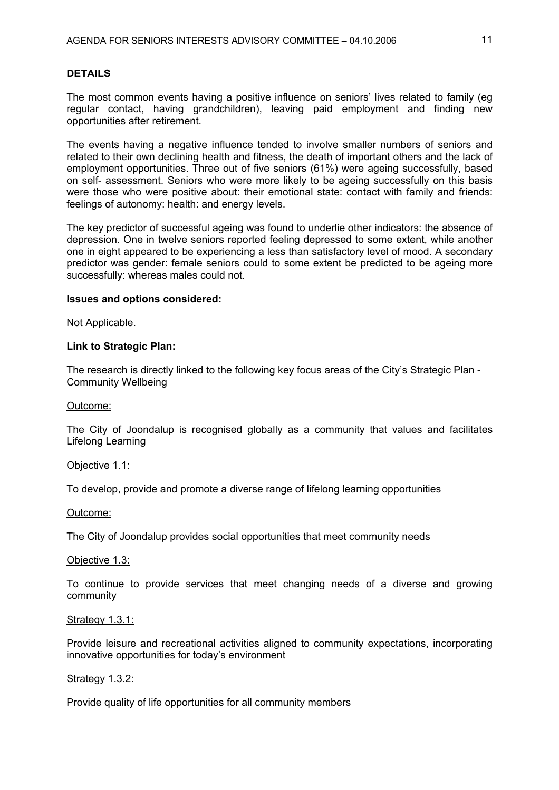#### **DETAILS**

The most common events having a positive influence on seniors' lives related to family (eg regular contact, having grandchildren), leaving paid employment and finding new opportunities after retirement.

The events having a negative influence tended to involve smaller numbers of seniors and related to their own declining health and fitness, the death of important others and the lack of employment opportunities. Three out of five seniors (61%) were ageing successfully, based on self- assessment. Seniors who were more likely to be ageing successfully on this basis were those who were positive about: their emotional state: contact with family and friends: feelings of autonomy: health: and energy levels.

The key predictor of successful ageing was found to underlie other indicators: the absence of depression. One in twelve seniors reported feeling depressed to some extent, while another one in eight appeared to be experiencing a less than satisfactory level of mood. A secondary predictor was gender: female seniors could to some extent be predicted to be ageing more successfully: whereas males could not.

#### **Issues and options considered:**

Not Applicable.

#### **Link to Strategic Plan:**

The research is directly linked to the following key focus areas of the City's Strategic Plan - Community Wellbeing

#### Outcome:

The City of Joondalup is recognised globally as a community that values and facilitates Lifelong Learning

#### Objective 1.1:

To develop, provide and promote a diverse range of lifelong learning opportunities

Outcome:

The City of Joondalup provides social opportunities that meet community needs

#### Objective 1.3:

To continue to provide services that meet changing needs of a diverse and growing community

#### Strategy 1.3.1:

Provide leisure and recreational activities aligned to community expectations, incorporating innovative opportunities for today's environment

#### Strategy 1.3.2:

Provide quality of life opportunities for all community members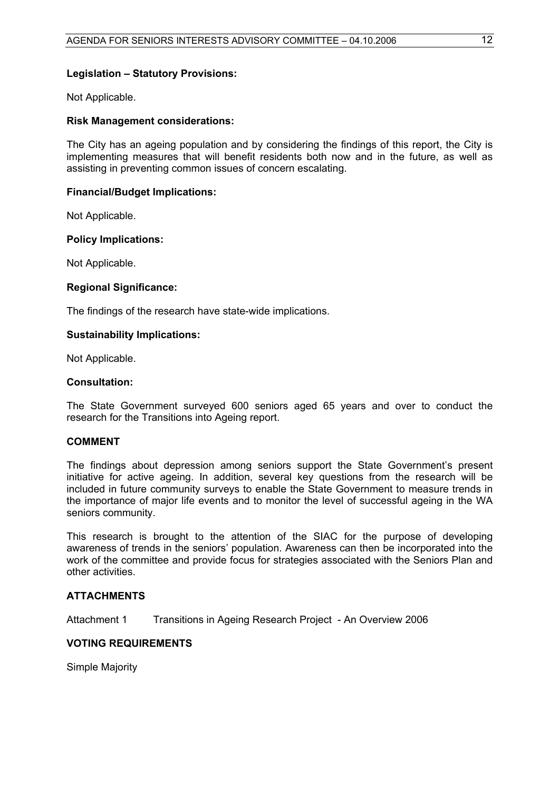#### **Legislation – Statutory Provisions:**

Not Applicable.

#### **Risk Management considerations:**

The City has an ageing population and by considering the findings of this report, the City is implementing measures that will benefit residents both now and in the future, as well as assisting in preventing common issues of concern escalating.

#### **Financial/Budget Implications:**

Not Applicable.

#### **Policy Implications:**

Not Applicable.

#### **Regional Significance:**

The findings of the research have state-wide implications.

#### **Sustainability Implications:**

Not Applicable.

#### **Consultation:**

The State Government surveyed 600 seniors aged 65 years and over to conduct the research for the Transitions into Ageing report.

#### **COMMENT**

The findings about depression among seniors support the State Government's present initiative for active ageing. In addition, several key questions from the research will be included in future community surveys to enable the State Government to measure trends in the importance of major life events and to monitor the level of successful ageing in the WA seniors community.

This research is brought to the attention of the SIAC for the purpose of developing awareness of trends in the seniors' population. Awareness can then be incorporated into the work of the committee and provide focus for strategies associated with the Seniors Plan and other activities.

#### **ATTACHMENTS**

Attachment 1 Transitions in Ageing Research Project - An Overview 2006

#### **VOTING REQUIREMENTS**

Simple Majority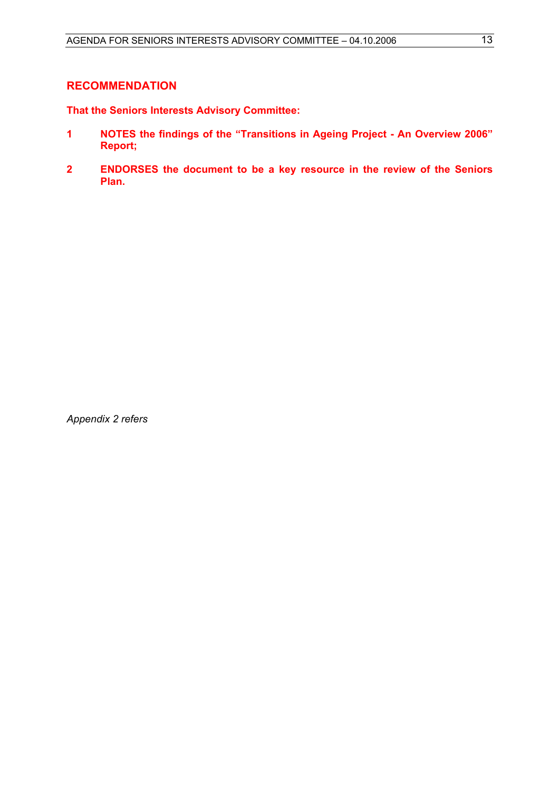#### **RECOMMENDATION**

**That the Seniors Interests Advisory Committee:** 

- **1 NOTES the findings of the "Transitions in Ageing Project An Overview 2006" Report;**
- **2 ENDORSES the document to be a key resource in the review of the Seniors Plan.**

*Appendix 2 refers*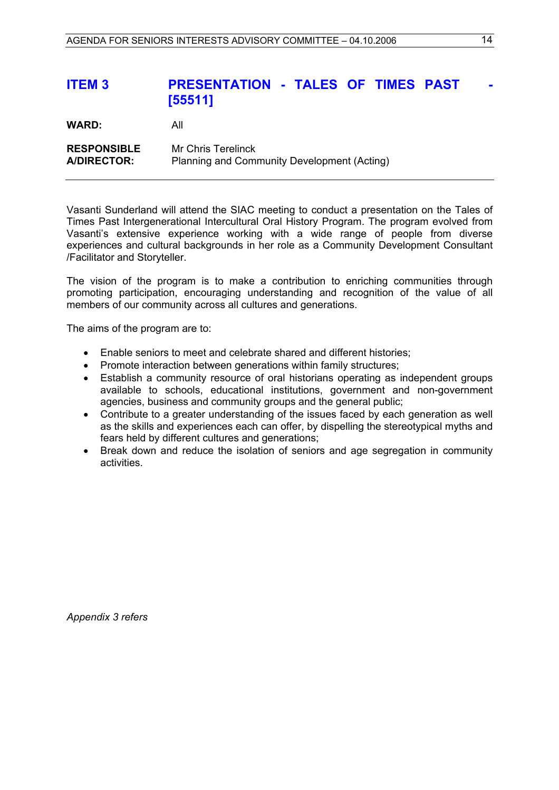# <span id="page-13-0"></span>**ITEM 3 PRESENTATION - TALES OF TIMES PAST [55511]**

**WARD:** All **RESPONSIBLE** Mr Chris Terelinck **A/DIRECTOR:** Planning and Community Development (Acting)

Vasanti Sunderland will attend the SIAC meeting to conduct a presentation on the Tales of Times Past Intergenerational Intercultural Oral History Program. The program evolved from Vasanti's extensive experience working with a wide range of people from diverse experiences and cultural backgrounds in her role as a Community Development Consultant /Facilitator and Storyteller.

The vision of the program is to make a contribution to enriching communities through promoting participation, encouraging understanding and recognition of the value of all members of our community across all cultures and generations.

The aims of the program are to:

- Enable seniors to meet and celebrate shared and different histories;
- Promote interaction between generations within family structures:
- Establish a community resource of oral historians operating as independent groups available to schools, educational institutions, government and non-government agencies, business and community groups and the general public;
- Contribute to a greater understanding of the issues faced by each generation as well as the skills and experiences each can offer, by dispelling the stereotypical myths and fears held by different cultures and generations;
- Break down and reduce the isolation of seniors and age segregation in community activities.

*Appendix 3 refers*